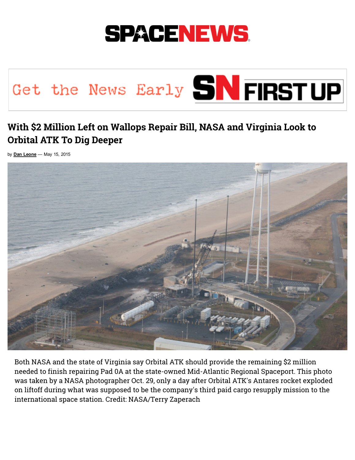

## Get the News Early SN FIRSTUP

## With \$2 Million Left on Wallops Repair Bill, NASA and Virginia Look to Orbital ATK To Dig Deeper

by  $Dan$  Leone  $-$  May 15, 2015



Both NASA and the state of Virginia say Orbital ATK should provide the remaining \$2 million needed to finish repairing Pad 0A at the state-owned Mid-Atlantic Regional Spaceport. This photo was taken by a NASA photographer Oct. 29, only a day after Orbital ATK's Antares rocket exploded on liftoff during what was supposed to be the company's third paid cargo resupply mission to the international space station. Credit: NASA/Terry Zaperach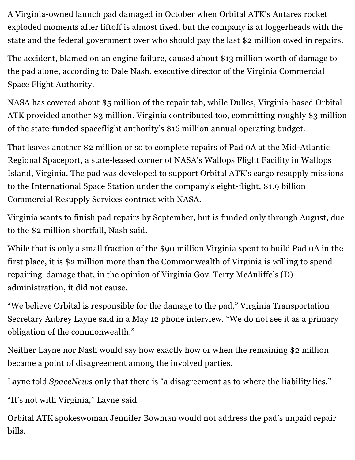A Virginia-owned launch pad damaged in October when Orbital ATK's Antares rocket exploded moments after liftoff is almost fixed, but the company is at loggerheads with the state and the federal government over who should pay the last \$2 million owed in repairs.

The accident, blamed on an engine failure, caused about \$13 million worth of damage to the pad alone, according to Dale Nash, executive director of the Virginia Commercial Space Flight Authority.

NASA has covered about \$5 million of the repair tab, while Dulles, Virginia-based Orbital ATK provided another \$3 million. Virginia contributed too, committing roughly \$3 million of the state-funded spaceflight authority's \$16 million annual operating budget.

That leaves another \$2 million or so to complete repairs of Pad 0A at the Mid-Atlantic Regional Spaceport, a state-leased corner of NASA's Wallops Flight Facility in Wallops Island, Virginia. The pad was developed to support Orbital ATK's cargo resupply missions to the International Space Station under the company's eight-flight, \$1.9 billion Commercial Resupply Services contract with NASA.

Virginia wants to finish pad repairs by September, but is funded only through August, due to the \$2 million shortfall, Nash said.

While that is only a small fraction of the \$90 million Virginia spent to build Pad 0A in the first place, it is \$2 million more than the Commonwealth of Virginia is willing to spend repairing damage that, in the opinion of Virginia Gov. Terry McAuliffe's (D) administration, it did not cause.

"We believe Orbital is responsible for the damage to the pad," Virginia Transportation Secretary Aubrey Layne said in a May 12 phone interview. "We do not see it as a primary obligation of the commonwealth."

Neither Layne nor Nash would say how exactly how or when the remaining \$2 million became a point of disagreement among the involved parties.

Layne told *SpaceNews* only that there is "a disagreement as to where the liability lies."

"It's not with Virginia," Layne said.

Orbital ATK spokeswoman Jennifer Bowman would not address the pad's unpaid repair bills.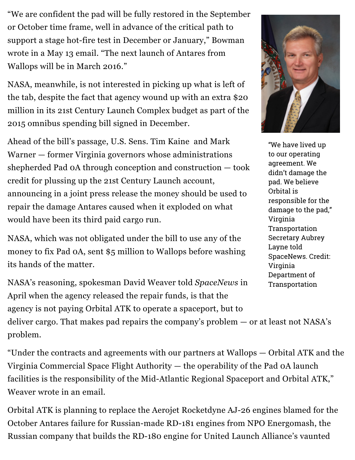"We are confident the pad will be fully restored in the September or October time frame, well in advance of the critical path to support a stage hot-fire test in December or January," Bowman wrote in a May 13 email. "The next launch of Antares from Wallops will be in March 2016."

NASA, meanwhile, is not interested in picking up what is left of the tab, despite the fact that agency wound up with an extra \$20 million in its 21st Century Launch Complex budget as part of the 2015 omnibus spending bill signed in December.

Ahead of the bill's passage, U.S. Sens. Tim Kaine and Mark Warner — former Virginia governors whose administrations shepherded Pad 0A through conception and construction — took credit for plussing up the 21st Century Launch account, announcing in a joint press release the money should be used to repair the damage Antares caused when it exploded on what would have been its third paid cargo run.

NASA, which was not obligated under the bill to use any of the money to fix Pad 0A, sent \$5 million to Wallops before washing its hands of the matter.

NASA's reasoning, spokesman David Weaver told SpaceNews in April when the agency released the repair funds, is that the agency is not paying Orbital ATK to operate a spaceport, but to deliver cargo. That makes pad repairs the company's problem — or at least not NASA's problem.

"Under the contracts and agreements with our partners at Wallops — Orbital ATK and the Virginia Commercial Space Flight Authority — the operability of the Pad 0A launch facilities is the responsibility of the Mid-Atlantic Regional Spaceport and Orbital ATK," Weaver wrote in an email.

Orbital ATK is planning to replace the Aerojet Rocketdyne AJ-26 engines blamed for the October Antares failure for Russian-made RD-181 engines from NPO Energomash, the Russian company that builds the RD-180 engine for United Launch Alliance's vaunted

![](_page_2_Picture_7.jpeg)

"We have lived up to our operating agreement. We didn't damage the pad. We believe Orbital is responsible for the damage to the pad," Virginia Transportation Secretary Aubrey Layne told SpaceNews. Credit: Virginia Department of Transportation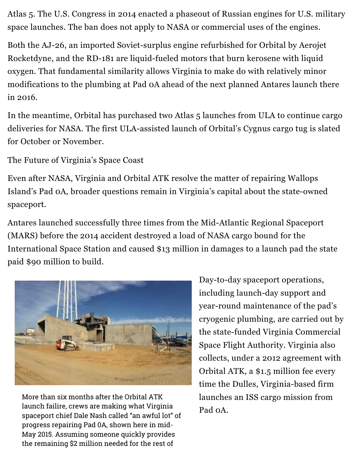Atlas 5. The U.S. Congress in 2014 enacted a phaseout of Russian engines for U.S. military space launches. The ban does not apply to NASA or commercial uses of the engines.

Both the AJ-26, an imported Soviet-surplus engine refurbished for Orbital by Aerojet Rocketdyne, and the RD-181 are liquid-fueled motors that burn kerosene with liquid oxygen. That fundamental similarity allows Virginia to make do with relatively minor modifications to the plumbing at Pad 0A ahead of the next planned Antares launch there in 2016.

In the meantime, Orbital has purchased two Atlas 5 launches from ULA to continue cargo deliveries for NASA. The first ULA-assisted launch of Orbital's Cygnus cargo tug is slated for October or November.

The Future of Virginia's Space Coast

Even after NASA, Virginia and Orbital ATK resolve the matter of repairing Wallops Island's Pad 0A, broader questions remain in Virginia's capital about the state-owned spaceport.

Antares launched successfully three times from the Mid-Atlantic Regional Spaceport (MARS) before the 2014 accident destroyed a load of NASA cargo bound for the International Space Station and caused \$13 million in damages to a launch pad the state paid \$90 million to build.

![](_page_3_Picture_6.jpeg)

More than six months after the Orbital ATK launch failire, crews are making what Virginia spaceport chief Dale Nash called "an awful lot" of progress repairing Pad 0A, shown here in mid-May 2015. Assuming someone quickly provides the remaining \$2 million needed for the rest of

Day-to-day spaceport operations, including launch-day support and year-round maintenance of the pad's cryogenic plumbing, are carried out by the state-funded Virginia Commercial Space Flight Authority. Virginia also collects, under a 2012 agreement with Orbital ATK, a \$1.5 million fee every time the Dulles, Virginia-based firm launches an ISS cargo mission from Pad 0A.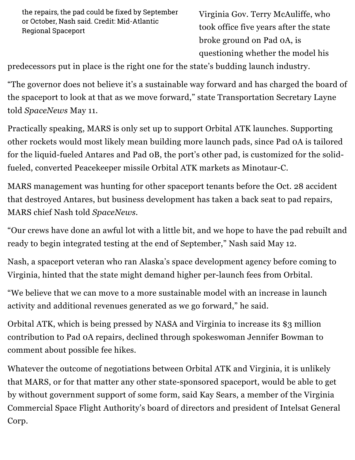the repairs, the pad could be fixed by September or October, Nash said. Credit: Mid-Atlantic Regional Spaceport

Virginia Gov. Terry McAuliffe, who took office five years after the state broke ground on Pad 0A, is questioning whether the model his

predecessors put in place is the right one for the state's budding launch industry.

"The governor does not believe it's a sustainable way forward and has charged the board of the spaceport to look at that as we move forward," state Transportation Secretary Layne told SpaceNews May 11.

Practically speaking, MARS is only set up to support Orbital ATK launches. Supporting other rockets would most likely mean building more launch pads, since Pad 0A is tailored for the liquid-fueled Antares and Pad oB, the port's other pad, is customized for the solidfueled, converted Peacekeeper missile Orbital ATK markets as Minotaur-C.

MARS management was hunting for other spaceport tenants before the Oct. 28 accident that destroyed Antares, but business development has taken a back seat to pad repairs, MARS chief Nash told SpaceNews.

"Our crews have done an awful lot with a little bit, and we hope to have the pad rebuilt and ready to begin integrated testing at the end of September," Nash said May 12.

Nash, a spaceport veteran who ran Alaska's space development agency before coming to Virginia, hinted that the state might demand higher per-launch fees from Orbital.

"We believe that we can move to a more sustainable model with an increase in launch activity and additional revenues generated as we go forward," he said.

Orbital ATK, which is being pressed by NASA and Virginia to increase its \$3 million contribution to Pad 0A repairs, declined through spokeswoman Jennifer Bowman to comment about possible fee hikes.

Whatever the outcome of negotiations between Orbital ATK and Virginia, it is unlikely that MARS, or for that matter any other statesponsored spaceport, would be able to get by without government support of some form, said Kay Sears, a member of the Virginia Commercial Space Flight Authority's board of directors and president of Intelsat General Corp.